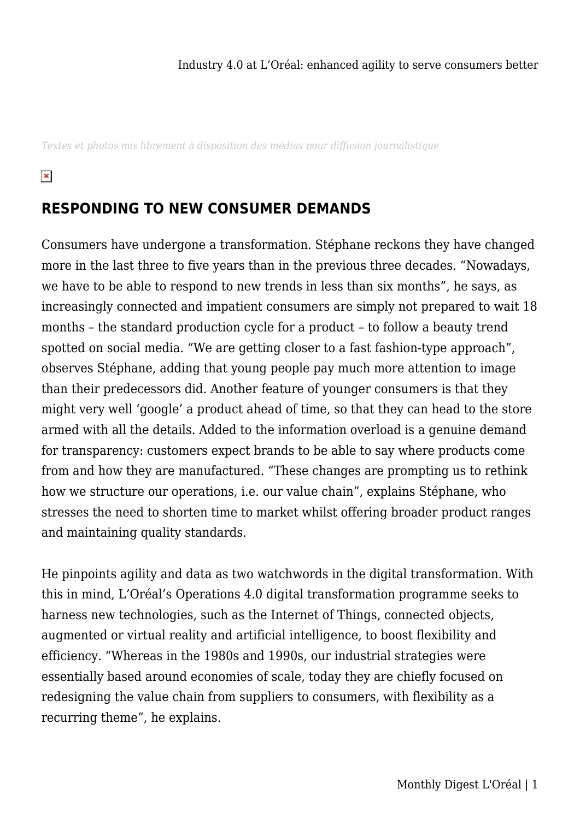*Textes et photos mis librement à disposition des médias pour diffusion journalistique*

 $\pmb{\times}$ 

## **RESPONDING TO NEW CONSUMER DEMANDS**

Consumers have undergone a transformation. Stéphane reckons they have changed more in the last three to five years than in the previous three decades. "Nowadays, we have to be able to respond to new trends in less than six months", he says, as increasingly connected and impatient consumers are simply not prepared to wait 18 months – the standard production cycle for a product – to follow a beauty trend spotted on social media. "We are getting closer to a fast fashion-type approach", observes Stéphane, adding that young people pay much more attention to image than their predecessors did. Another feature of younger consumers is that they might very well 'google' a product ahead of time, so that they can head to the store armed with all the details. Added to the information overload is a genuine demand for transparency: customers expect brands to be able to say where products come from and how they are manufactured. "These changes are prompting us to rethink how we structure our operations, i.e. our value chain", explains Stéphane, who stresses the need to shorten time to market whilst offering broader product ranges and maintaining quality standards.

He pinpoints agility and data as two watchwords in the digital transformation. With this in mind, L'Oréal's Operations 4.0 digital transformation programme seeks to harness new technologies, such as the Internet of Things, connected objects, augmented or virtual reality and artificial intelligence, to boost flexibility and efficiency. "Whereas in the 1980s and 1990s, our industrial strategies were essentially based around economies of scale, today they are chiefly focused on redesigning the value chain from suppliers to consumers, with flexibility as a recurring theme", he explains.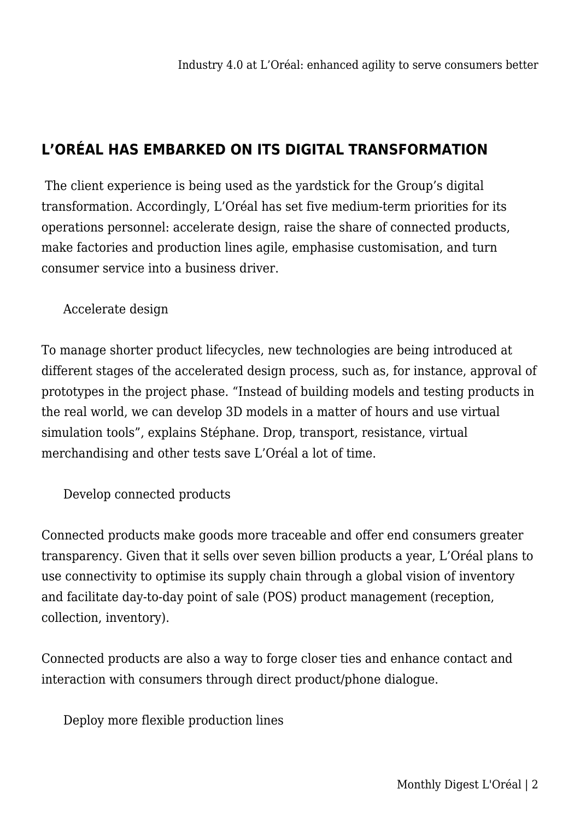## **L'ORÉAL HAS EMBARKED ON ITS DIGITAL TRANSFORMATION**

The client experience is being used as the yardstick for the Group's digital transformation. Accordingly, L'Oréal has set five medium-term priorities for its operations personnel: accelerate design, raise the share of connected products, make factories and production lines agile, emphasise customisation, and turn consumer service into a business driver.

Accelerate design

To manage shorter product lifecycles, new technologies are being introduced at different stages of the accelerated design process, such as, for instance, approval of prototypes in the project phase. "Instead of building models and testing products in the real world, we can develop 3D models in a matter of hours and use virtual simulation tools", explains Stéphane. Drop, transport, resistance, virtual merchandising and other tests save L'Oréal a lot of time.

Develop connected products

Connected products make goods more traceable and offer end consumers greater transparency. Given that it sells over seven billion products a year, L'Oréal plans to use connectivity to optimise its supply chain through a global vision of inventory and facilitate day-to-day point of sale (POS) product management (reception, collection, inventory).

Connected products are also a way to forge closer ties and enhance contact and interaction with consumers through direct product/phone dialogue.

Deploy more flexible production lines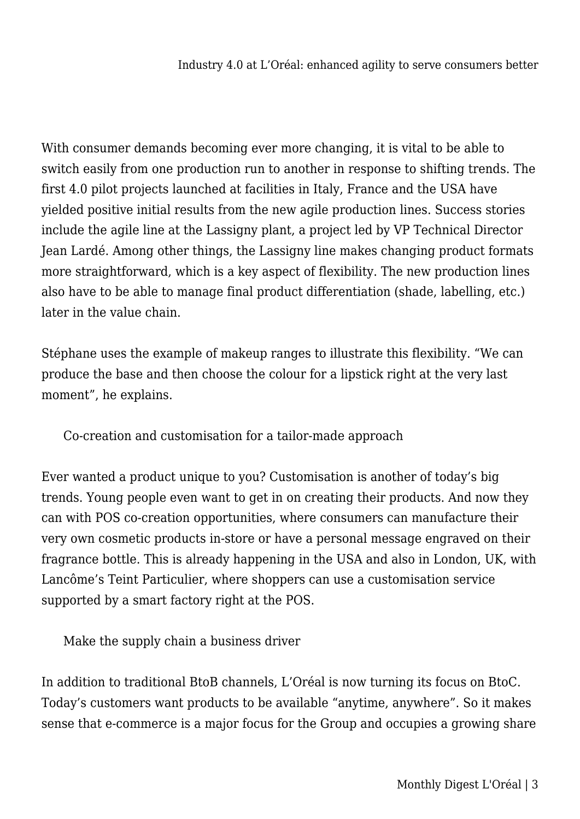With consumer demands becoming ever more changing, it is vital to be able to switch easily from one production run to another in response to shifting trends. The first 4.0 pilot projects launched at facilities in Italy, France and the USA have yielded positive initial results from the new agile production lines. Success stories include the agile line at the Lassigny plant, a project led by VP Technical Director Jean Lardé. Among other things, the Lassigny line makes changing product formats more straightforward, which is a key aspect of flexibility. The new production lines also have to be able to manage final product differentiation (shade, labelling, etc.) later in the value chain.

Stéphane uses the example of makeup ranges to illustrate this flexibility. "We can produce the base and then choose the colour for a lipstick right at the very last moment", he explains.

Co-creation and customisation for a tailor-made approach

Ever wanted a product unique to you? Customisation is another of today's big trends. Young people even want to get in on creating their products. And now they can with POS co-creation opportunities, where consumers can manufacture their very own cosmetic products in-store or have a personal message engraved on their fragrance bottle. This is already happening in the USA and also in London, UK, with Lancôme's Teint Particulier, where shoppers can use a customisation service supported by a smart factory right at the POS.

Make the supply chain a business driver

In addition to traditional BtoB channels, L'Oréal is now turning its focus on BtoC. Today's customers want products to be available "anytime, anywhere". So it makes sense that e-commerce is a major focus for the Group and occupies a growing share